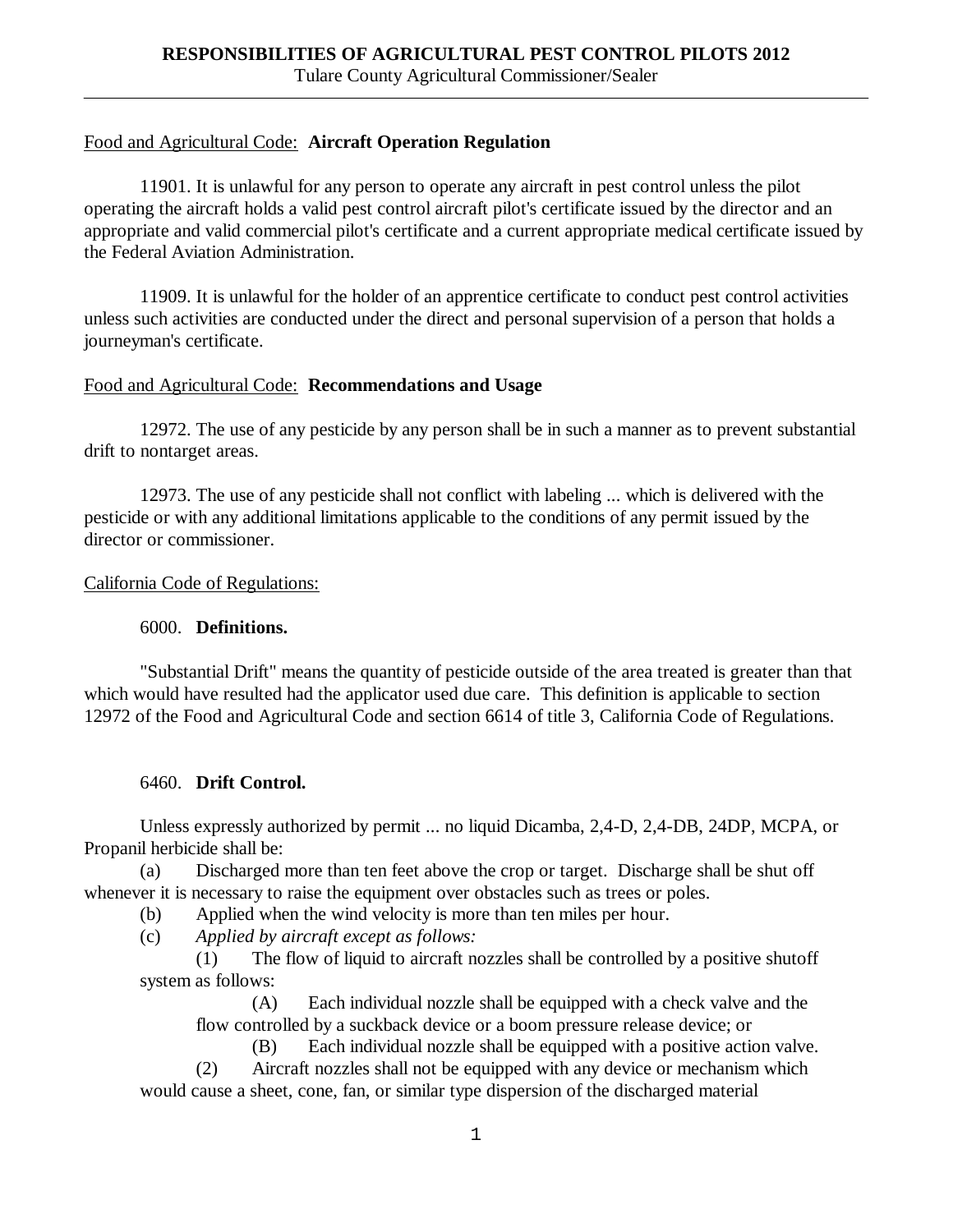### Food and Agricultural Code: **Aircraft Operation Regulation**

11901. It is unlawful for any person to operate any aircraft in pest control unless the pilot operating the aircraft holds a valid pest control aircraft pilot's certificate issued by the director and an appropriate and valid commercial pilot's certificate and a current appropriate medical certificate issued by the Federal Aviation Administration.

11909. It is unlawful for the holder of an apprentice certificate to conduct pest control activities unless such activities are conducted under the direct and personal supervision of a person that holds a journeyman's certificate.

#### Food and Agricultural Code: **Recommendations and Usage**

12972. The use of any pesticide by any person shall be in such a manner as to prevent substantial drift to nontarget areas.

12973. The use of any pesticide shall not conflict with labeling ... which is delivered with the pesticide or with any additional limitations applicable to the conditions of any permit issued by the director or commissioner.

#### California Code of Regulations:

#### 6000. **Definitions.**

"Substantial Drift" means the quantity of pesticide outside of the area treated is greater than that which would have resulted had the applicator used due care. This definition is applicable to section 12972 of the Food and Agricultural Code and section 6614 of title 3, California Code of Regulations.

## 6460. **Drift Control.**

Unless expressly authorized by permit ... no liquid Dicamba, 2,4-D, 2,4-DB, 24DP, MCPA, or Propanil herbicide shall be:

(a) Discharged more than ten feet above the crop or target. Discharge shall be shut off whenever it is necessary to raise the equipment over obstacles such as trees or poles.

(b) Applied when the wind velocity is more than ten miles per hour.

(c) *Applied by aircraft except as follows:*

(1) The flow of liquid to aircraft nozzles shall be controlled by a positive shutoff system as follows:

(A) Each individual nozzle shall be equipped with a check valve and the flow controlled by a suckback device or a boom pressure release device; or

(B) Each individual nozzle shall be equipped with a positive action valve.

(2) Aircraft nozzles shall not be equipped with any device or mechanism which would cause a sheet, cone, fan, or similar type dispersion of the discharged material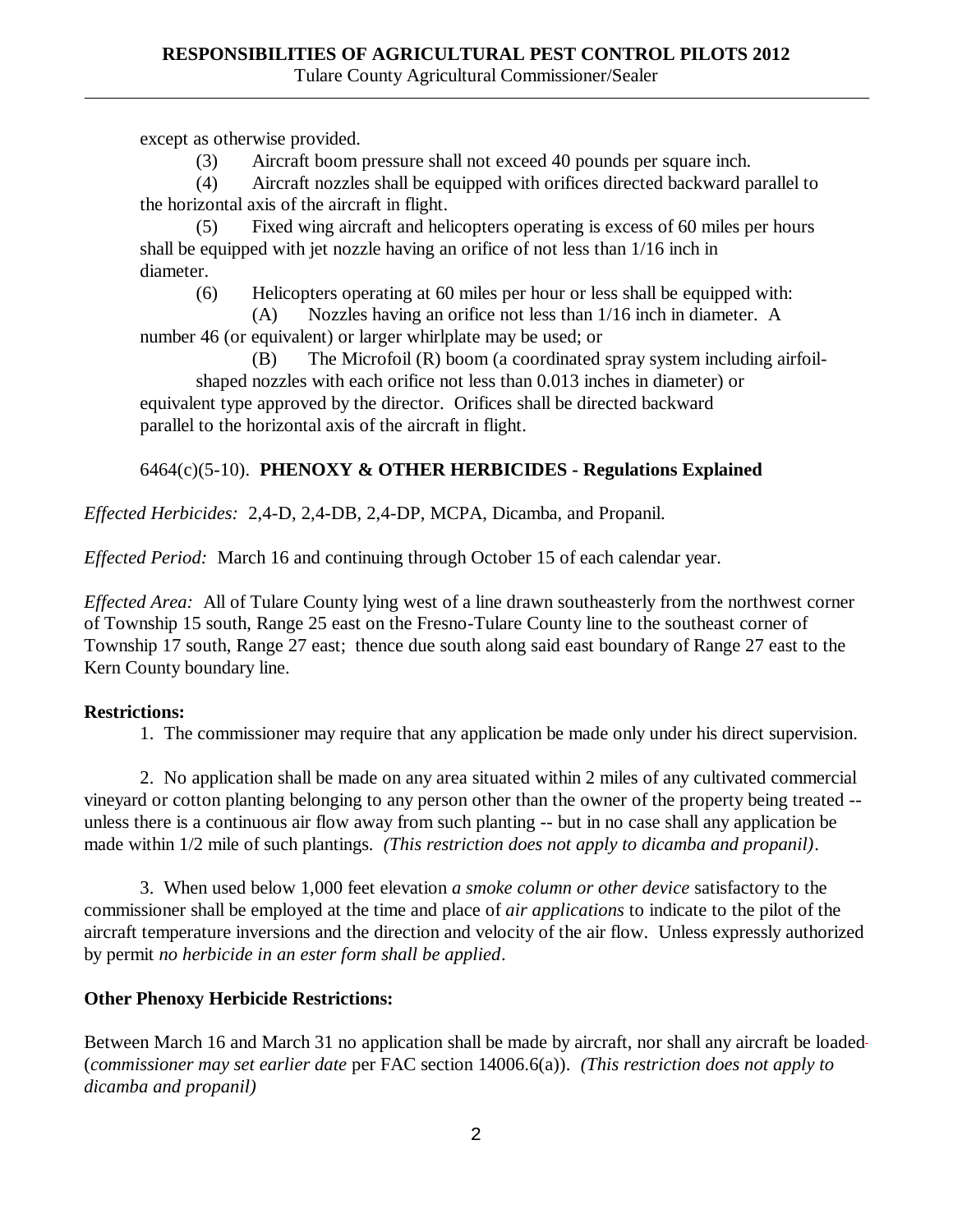except as otherwise provided.

(3) Aircraft boom pressure shall not exceed 40 pounds per square inch.

(4) Aircraft nozzles shall be equipped with orifices directed backward parallel to the horizontal axis of the aircraft in flight.

(5) Fixed wing aircraft and helicopters operating is excess of 60 miles per hours shall be equipped with jet nozzle having an orifice of not less than 1/16 inch in diameter.

(6) Helicopters operating at 60 miles per hour or less shall be equipped with:

(A) Nozzles having an orifice not less than 1/16 inch in diameter. A number 46 (or equivalent) or larger whirlplate may be used; or

(B) The Microfoil (R) boom (a coordinated spray system including airfoilshaped nozzles with each orifice not less than 0.013 inches in diameter) or equivalent type approved by the director. Orifices shall be directed backward parallel to the horizontal axis of the aircraft in flight.

# 6464(c)(5-10). **PHENOXY & OTHER HERBICIDES - Regulations Explained**

*Effected Herbicides:* 2,4-D, 2,4-DB, 2,4-DP, MCPA, Dicamba, and Propanil.

*Effected Period:* March 16 and continuing through October 15 of each calendar year.

*Effected Area:* All of Tulare County lying west of a line drawn southeasterly from the northwest corner of Township 15 south, Range 25 east on the Fresno-Tulare County line to the southeast corner of Township 17 south, Range 27 east; thence due south along said east boundary of Range 27 east to the Kern County boundary line.

# **Restrictions:**

1. The commissioner may require that any application be made only under his direct supervision.

2. No application shall be made on any area situated within 2 miles of any cultivated commercial vineyard or cotton planting belonging to any person other than the owner of the property being treated - unless there is a continuous air flow away from such planting -- but in no case shall any application be made within 1/2 mile of such plantings. *(This restriction does not apply to dicamba and propanil)*.

3. When used below 1,000 feet elevation *a smoke column or other device* satisfactory to the commissioner shall be employed at the time and place of *air applications* to indicate to the pilot of the aircraft temperature inversions and the direction and velocity of the air flow. Unless expressly authorized by permit *no herbicide in an ester form shall be applied*.

# **Other Phenoxy Herbicide Restrictions:**

Between March 16 and March 31 no application shall be made by aircraft, nor shall any aircraft be loaded (*commissioner may set earlier date* per FAC section 14006.6(a)). *(This restriction does not apply to dicamba and propanil)*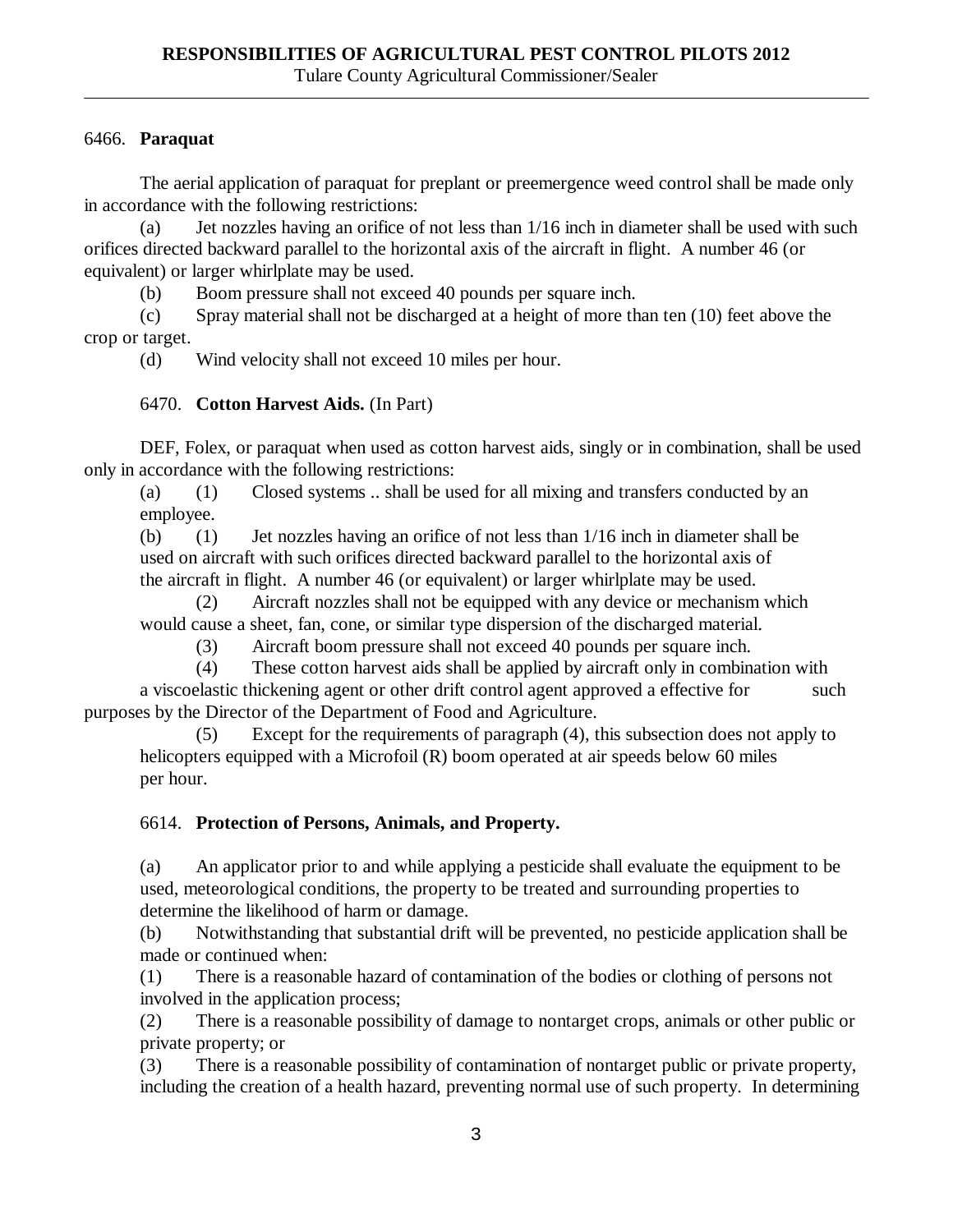## 6466. **Paraquat**

The aerial application of paraquat for preplant or preemergence weed control shall be made only in accordance with the following restrictions:

(a) Jet nozzles having an orifice of not less than 1/16 inch in diameter shall be used with such orifices directed backward parallel to the horizontal axis of the aircraft in flight. A number 46 (or equivalent) or larger whirlplate may be used.

(b) Boom pressure shall not exceed 40 pounds per square inch.

(c) Spray material shall not be discharged at a height of more than ten (10) feet above the crop or target.

(d) Wind velocity shall not exceed 10 miles per hour.

### 6470. **Cotton Harvest Aids.** (In Part)

DEF, Folex, or paraquat when used as cotton harvest aids, singly or in combination, shall be used only in accordance with the following restrictions:

(a) (1) Closed systems .. shall be used for all mixing and transfers conducted by an employee.

(b) (1) Jet nozzles having an orifice of not less than 1/16 inch in diameter shall be used on aircraft with such orifices directed backward parallel to the horizontal axis of the aircraft in flight. A number 46 (or equivalent) or larger whirlplate may be used.

(2) Aircraft nozzles shall not be equipped with any device or mechanism which would cause a sheet, fan, cone, or similar type dispersion of the discharged material.

(3) Aircraft boom pressure shall not exceed 40 pounds per square inch.

(4) These cotton harvest aids shall be applied by aircraft only in combination with a viscoelastic thickening agent or other drift control agent approved a effective for such purposes by the Director of the Department of Food and Agriculture.

(5) Except for the requirements of paragraph (4), this subsection does not apply to helicopters equipped with a Microfoil (R) boom operated at air speeds below 60 miles per hour.

## 6614. **Protection of Persons, Animals, and Property.**

(a) An applicator prior to and while applying a pesticide shall evaluate the equipment to be used, meteorological conditions, the property to be treated and surrounding properties to determine the likelihood of harm or damage.

(b) Notwithstanding that substantial drift will be prevented, no pesticide application shall be made or continued when:

(1) There is a reasonable hazard of contamination of the bodies or clothing of persons not involved in the application process;

(2) There is a reasonable possibility of damage to nontarget crops, animals or other public or private property; or

(3) There is a reasonable possibility of contamination of nontarget public or private property, including the creation of a health hazard, preventing normal use of such property. In determining